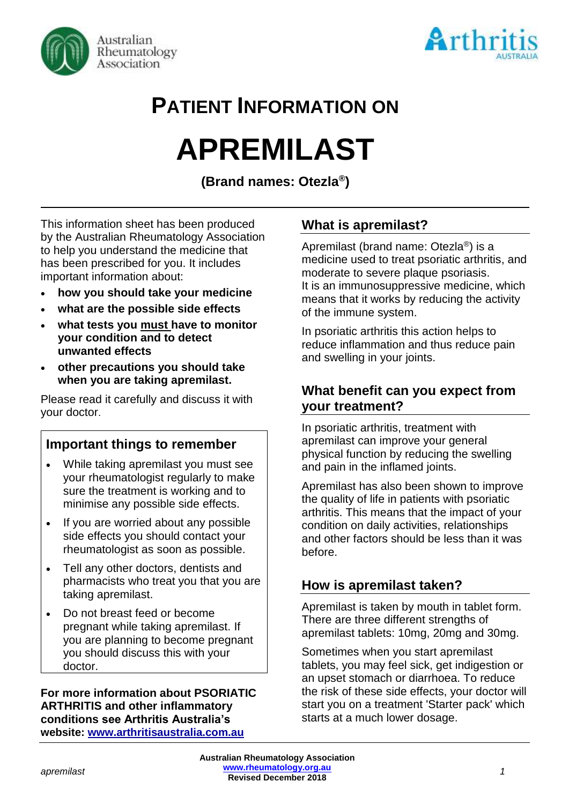



# **PATIENT INFORMATION ON**

# **APREMILAST**

**(Brand names: Otezla® )**

This information sheet has been produced by the Australian Rheumatology Association to help you understand the medicine that has been prescribed for you. It includes important information about:

- **how you should take your medicine**
- **what are the possible side effects**
- **what tests you must have to monitor your condition and to detect unwanted effects**
- **other precautions you should take when you are taking apremilast.**

Please read it carefully and discuss it with your doctor.

# **Important things to remember**

- While taking apremilast you must see your rheumatologist regularly to make sure the treatment is working and to minimise any possible side effects.
- If you are worried about any possible side effects you should contact your rheumatologist as soon as possible.
- Tell any other doctors, dentists and pharmacists who treat you that you are taking apremilast.
- Do not breast feed or become pregnant while taking apremilast. If you are planning to become pregnant you should discuss this with your doctor.

**For more information about PSORIATIC ARTHRITIS and other inflammatory conditions see Arthritis Australia's website: [www.arthritisaustralia.com.au](http://www.arthritisaustralia.com.au/)**

# **What is apremilast?**

Apremilast (brand name: Otezla®) is a medicine used to treat psoriatic arthritis, and moderate to severe plaque psoriasis. It is an immunosuppressive medicine, which means that it works by reducing the activity of the immune system.

In psoriatic arthritis this action helps to reduce inflammation and thus reduce pain and swelling in your joints.

# **What benefit can you expect from your treatment?**

In psoriatic arthritis, treatment with apremilast can improve your general physical function by reducing the swelling and pain in the inflamed joints.

Apremilast has also been shown to improve the quality of life in patients with psoriatic arthritis. This means that the impact of your condition on daily activities, relationships and other factors should be less than it was before.

# **How is apremilast taken?**

Apremilast is taken by mouth in tablet form. There are three different strengths of apremilast tablets: 10mg, 20mg and 30mg.

Sometimes when you start apremilast tablets, you may feel sick, get indigestion or an upset stomach or diarrhoea. To reduce the risk of these side effects, your doctor will start you on a treatment 'Starter pack' which starts at a much lower dosage.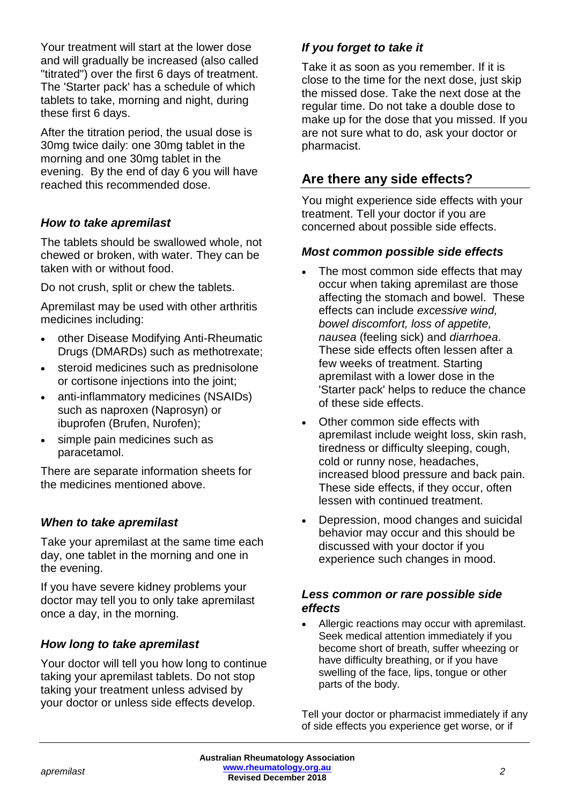Your treatment will start at the lower dose and will gradually be increased (also called "titrated") over the first 6 days of treatment. The 'Starter pack' has a schedule of which tablets to take, morning and night, during these first 6 days.

After the titration period, the usual dose is 30mg twice daily: one 30mg tablet in the morning and one 30mg tablet in the evening. By the end of day 6 you will have reached this recommended dose.

#### *How to take apremilast*

The tablets should be swallowed whole, not chewed or broken, with water. They can be taken with or without food.

Do not crush, split or chew the tablets.

Apremilast may be used with other arthritis medicines including:

- other Disease Modifying Anti-Rheumatic Drugs (DMARDs) such as methotrexate;
- steroid medicines such as prednisolone or cortisone injections into the joint;
- anti-inflammatory medicines (NSAIDs) such as naproxen (Naprosyn) or ibuprofen (Brufen, Nurofen);
- simple pain medicines such as paracetamol.

There are separate information sheets for the medicines mentioned above.

#### *When to take apremilast*

Take your apremilast at the same time each day, one tablet in the morning and one in the evening.

If you have severe kidney problems your doctor may tell you to only take apremilast once a day, in the morning.

#### *How long to take apremilast*

Your doctor will tell you how long to continue taking your apremilast tablets. Do not stop taking your treatment unless advised by your doctor or unless side effects develop.

#### *If you forget to take it*

Take it as soon as you remember. If it is close to the time for the next dose, just skip the missed dose. Take the next dose at the regular time. Do not take a double dose to make up for the dose that you missed. If you are not sure what to do, ask your doctor or pharmacist.

# **Are there any side effects?**

You might experience side effects with your treatment. Tell your doctor if you are concerned about possible side effects.

#### *Most common possible side effects*

- The most common side effects that may occur when taking apremilast are those affecting the stomach and bowel. These effects can include *excessive wind, bowel discomfort, loss of appetite, nausea* (feeling sick) and *diarrhoea*. These side effects often lessen after a few weeks of treatment. Starting apremilast with a lower dose in the 'Starter pack' helps to reduce the chance of these side effects.
- Other common side effects with apremilast include weight loss, skin rash, tiredness or difficulty sleeping, cough, cold or runny nose, headaches, increased blood pressure and back pain. These side effects, if they occur, often lessen with continued treatment.
- Depression, mood changes and suicidal behavior may occur and this should be discussed with your doctor if you experience such changes in mood.

#### *Less common or rare possible side effects*

Allergic reactions may occur with apremilast. Seek medical attention immediately if you become short of breath, suffer wheezing or have difficulty breathing, or if you have swelling of the face, lips, tongue or other parts of the body.

Tell your doctor or pharmacist immediately if any of side effects you experience get worse, or if